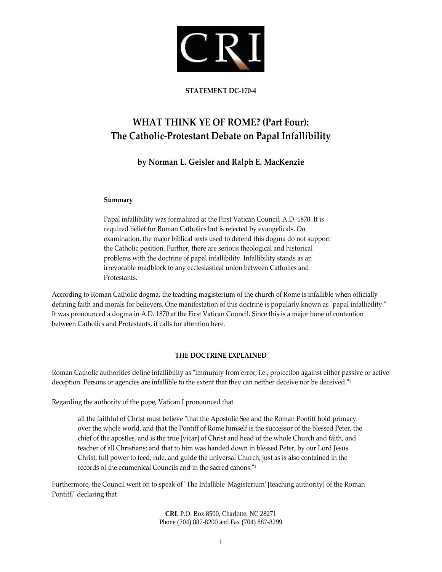

#### **STATEMENT DC‐170‐4**

# **WHAT THINK YE OF ROME? (Part Four): The Catholic‐Protestant Debate on Papal Infallibility**

# **by Norman L. Geisler and Ralph E. MacKenzie**

#### **Summary**

Papal infallibility was formalized at the First Vatican Council, A.D. 1870. It is required belief for Roman Catholics but is rejected by evangelicals. On examination, the major biblical texts used to defend this dogma do not support the Catholic position. Further, there are serious theological and historical problems with the doctrine of papal infallibility. Infallibility stands as an irrevocable roadblock to any ecclesiastical union between Catholics and Protestants.

According to Roman Catholic dogma, the teaching magisterium of the church of Rome is infallible when officially defining faith and morals for believers. One manifestation of this doctrine is popularly known as "papal infallibility." It was pronounced a dogma in A.D. 1870 at the First Vatican Council. Since this is a major bone of contention between Catholics and Protestants, it calls for attention here.

# **THE DOCTRINE EXPLAINED**

Roman Catholic authorities define infallibility as "immunity from error, i.e., protection against either passive or active deception. Persons or agencies are infallible to the extent that they can neither deceive nor be deceived.<sup>"1</sup>

Regarding the authority of the pope, Vatican I pronounced that

all the faithful of Christ must believe "that the Apostolic See and the Roman Pontiff hold primacy over the whole world, and that the Pontiff of Rome himself is the successor of the blessed Peter, the chief of the apostles, and is the true [vicar] of Christ and head of the whole Church and faith, and teacher of all Christians; and that to him was handed down in blessed Peter, by our Lord Jesus Christ, full power to feed, rule, and guide the universal Church, just as is also contained in the records of the ecumenical Councils and in the sacred canons.<sup>"2</sup>

Furthermore, the Council went on to speak of "The Infallible 'Magisterium' [teaching authority] of the Roman Pontiff," declaring that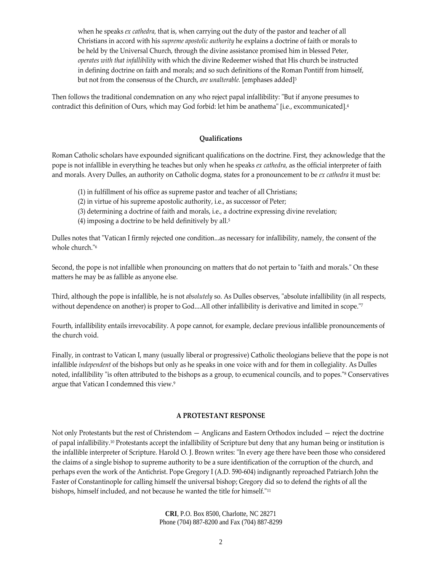when he speaks *ex cathedra,* that is, when carrying out the duty of the pastor and teacher of all Christians in accord with his *supreme apostolic authority* he explains a doctrine of faith or morals to be held by the Universal Church, through the divine assistance promised him in blessed Peter, *operates with that infallibility* with which the divine Redeemer wished that His church be instructed in defining doctrine on faith and morals; and so such definitions of the Roman Pontiff from himself, but not from the consensus of the Church, *are unalterable.* [emphases added]3

Then follows the traditional condemnation on any who reject papal infallibility: "But if anyone presumes to contradict this definition of Ours, which may God forbid: let him be anathema" [i.e., excommunicated].<sup>4</sup>

#### **Qualifications**

Roman Catholic scholars have expounded significant qualifications on the doctrine. First, they acknowledge that the pope is not infallible in everything he teaches but only when he speaks *ex cathedra,* as the official interpreter of faith and morals. Avery Dulles, an authority on Catholic dogma, states for a pronouncement to be *ex cathedra* it must be:

- (1) in fulfillment of his office as supreme pastor and teacher of all Christians;
- (2) in virtue of his supreme apostolic authority, i.e., as successor of Peter;
- (3) determining a doctrine of faith and morals, i.e., a doctrine expressing divine revelation;
- (4) imposing a doctrine to be held definitively by all.<sup>5</sup>

Dulles notes that "Vatican I firmly rejected one condition...as necessary for infallibility, namely, the consent of the whole church.<sup>"6</sup>

Second, the pope is not infallible when pronouncing on matters that do not pertain to "faith and morals." On these matters he may be as fallible as anyone else.

Third, although the pope is infallible, he is not *absolutely* so. As Dulles observes, "absolute infallibility (in all respects, without dependence on another) is proper to God....All other infallibility is derivative and limited in scope.<sup>"7</sup>

Fourth, infallibility entails irrevocability. A pope cannot, for example, declare previous infallible pronouncements of the church void.

Finally, in contrast to Vatican I, many (usually liberal or progressive) Catholic theologians believe that the pope is not infallible *independent* of the bishops but only as he speaks in one voice with and for them in collegiality. As Dulles noted, infallibility "is often attributed to the bishops as a group, to ecumenical councils, and to popes."<sup>8</sup> Conservatives argue that Vatican I condemned this view.9

#### **A PROTESTANT RESPONSE**

Not only Protestants but the rest of Christendom — Anglicans and Eastern Orthodox included — reject the doctrine of papal infallibility.10 Protestants accept the infallibility of Scripture but deny that any human being or institution is the infallible interpreter of Scripture. Harold O. J. Brown writes: "In every age there have been those who considered the claims of a single bishop to supreme authority to be a sure identification of the corruption of the church, and perhaps even the work of the Antichrist. Pope Gregory I (A.D. 590‐604) indignantly reproached Patriarch John the Faster of Constantinople for calling himself the universal bishop; Gregory did so to defend the rights of all the bishops, himself included, and not because he wanted the title for himself."<sup>11</sup>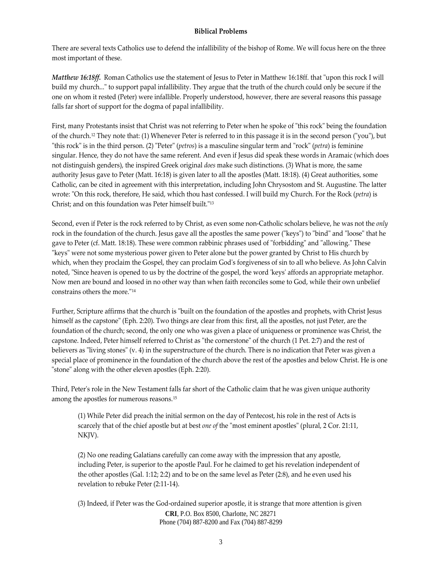#### **Biblical Problems**

There are several texts Catholics use to defend the infallibility of the bishop of Rome. We will focus here on the three most important of these.

*Matthew* 16:18ff. Roman Catholics use the statement of Jesus to Peter in Matthew 16:18ff. that "upon this rock I will build my church..." to support papal infallibility. They argue that the truth of the church could only be secure if the one on whom it rested (Peter) were infallible. Properly understood, however, there are several reasons this passage falls far short of support for the dogma of papal infallibility.

First, many Protestants insist that Christ was not referring to Peter when he spoke of "this rock" being the foundation of the church.<sup>12</sup> They note that: (1) Whenever Peter is referred to in this passage it is in the second person ("you"), but "this rock" is in the third person. (2) "Peter" (*petros*) is a masculine singular term and "rock" (*petra*) is feminine singular. Hence, they do not have the same referent. And even if Jesus did speak these words in Aramaic (which does not distinguish genders), the inspired Greek original *does* make such distinctions. (3) What is more, the same authority Jesus gave to Peter (Matt. 16:18) is given later to all the apostles (Matt. 18:18). (4) Great authorities, some Catholic, can be cited in agreement with this interpretation, including John Chrysostom and St. Augustine. The latter wrote: "On this rock, therefore, He said, which thou hast confessed. I will build my Church. For the Rock (*petra*) is Christ; and on this foundation was Peter himself built."<sup>13</sup>

Second, even if Peter is the rock referred to by Christ, as even some non‐Catholic scholars believe, he was not the *only* rock in the foundation of the church. Jesus gave all the apostles the same power ("keys") to "bind" and "loose" that he gave to Peter (cf. Matt. 18:18). These were common rabbinic phrases used of "forbidding" and "allowing." These "keys" were not some mysterious power given to Peter alone but the power granted by Christ to His church by which, when they proclaim the Gospel, they can proclaim God's forgiveness of sin to all who believe. As John Calvin noted, "Since heaven is opened to us by the doctrine of the gospel, the word 'keys' affords an appropriate metaphor. Now men are bound and loosed in no other way than when faith reconciles some to God, while their own unbelief constrains others the more.<sup>"14</sup>

Further, Scripture affirms that the church is "built on the foundation of the apostles and prophets, with Christ Jesus himself as the capstone" (Eph. 2:20). Two things are clear from this: first, all the apostles, not just Peter, are the foundation of the church; second, the only one who was given a place of uniqueness or prominence was Christ, the capstone. Indeed, Peter himself referred to Christ as "the cornerstone" of the church (1 Pet. 2:7) and the rest of believers as "living stones" (v. 4) in the superstructure of the church. There is no indication that Peter was given a special place of prominence in the foundation of the church above the rest of the apostles and below Christ. He is one "stone" along with the other eleven apostles (Eph. 2:20).

Third, Peter's role in the New Testament falls far short of the Catholic claim that he was given unique authority among the apostles for numerous reasons.15

(1) While Peter did preach the initial sermon on the day of Pentecost, his role in the rest of Acts is scarcely that of the chief apostle but at best *one* of the "most eminent apostles" (plural, 2 Cor. 21:11, NKJV).

(2) No one reading Galatians carefully can come away with the impression that any apostle, including Peter, is superior to the apostle Paul. For he claimed to get his revelation independent of the other apostles (Gal. 1:12; 2:2) and to be on the same level as Peter (2:8), and he even used his revelation to rebuke Peter (2:11‐14).

**CRI**, P.O. Box 8500, Charlotte, NC 28271 Phone (704) 887-8200 and Fax (704) 887-8299 (3) Indeed, if Peter was the God‐ordained superior apostle, it is strange that more attention is given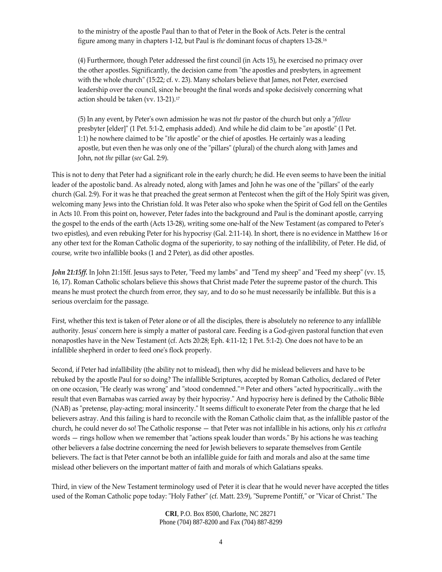to the ministry of the apostle Paul than to that of Peter in the Book of Acts. Peter is the central figure among many in chapters 1‐12, but Paul is *the* dominant focus of chapters 13‐28.16

(4) Furthermore, though Peter addressed the first council (in Acts 15), he exercised no primacy over the other apostles. Significantly, the decision came from "the apostles and presbyters, in agreement with the whole church" (15:22; cf. v. 23). Many scholars believe that James, not Peter, exercised leadership over the council, since he brought the final words and spoke decisively concerning what action should be taken (vv. 13‐21).17

(5) In any event, by Peterʹs own admission he was not *the* pastor of the church but only a ʺ*fellow* presbyter [elder]" (1 Pet. 5:1-2, emphasis added). And while he did claim to be "*an* apostle" (1 Pet. 1:1) he nowhere claimed to be "the apostle" or the chief of apostles. He certainly was a leading apostle, but even then he was only one of the "pillars" (plural) of the church along with James and John, not *the* pillar (*see* Gal. 2:9).

This is not to deny that Peter had a significant role in the early church; he did. He even seems to have been the initial leader of the apostolic band. As already noted, along with James and John he was one of the "pillars" of the early church (Gal. 2:9). For it was he that preached the great sermon at Pentecost when the gift of the Holy Spirit was given, welcoming many Jews into the Christian fold. It was Peter also who spoke when the Spirit of God fell on the Gentiles in Acts 10. From this point on, however, Peter fades into the background and Paul is the dominant apostle, carrying the gospel to the ends of the earth (Acts 13‐28), writing some one‐half of the New Testament (as compared to Peterʹs two epistles), and even rebuking Peter for his hypocrisy (Gal. 2:11‐14). In short, there is no evidence in Matthew 16 or any other text for the Roman Catholic dogma of the superiority, to say nothing of the infallibility, of Peter. He did, of course, write two infallible books (1 and 2 Peter), as did other apostles.

*John* 21:15ff. In John 21:15ff. Jesus says to Peter, "Feed my lambs" and "Tend my sheep" and "Feed my sheep" (vv. 15, 16, 17). Roman Catholic scholars believe this shows that Christ made Peter the supreme pastor of the church. This means he must protect the church from error, they say, and to do so he must necessarily be infallible. But this is a serious overclaim for the passage.

First, whether this text is taken of Peter alone or of all the disciples, there is absolutely no reference to any infallible authority. Jesus' concern here is simply a matter of pastoral care. Feeding is a God-given pastoral function that even nonapostles have in the New Testament (cf. Acts 20:28; Eph. 4:11-12; 1 Pet. 5:1-2). One does not have to be an infallible shepherd in order to feed oneʹs flock properly.

Second, if Peter had infallibility (the ability not to mislead), then why did he mislead believers and have to be rebuked by the apostle Paul for so doing? The infallible Scriptures, accepted by Roman Catholics, declared of Peter on one occasion, "He clearly was wrong" and "stood condemned."<sup>18</sup> Peter and others "acted hypocritically...with the result that even Barnabas was carried away by their hypocrisy." And hypocrisy here is defined by the Catholic Bible (NAB) as "pretense, play-acting; moral insincerity." It seems difficult to exonerate Peter from the charge that he led believers astray. And this failing is hard to reconcile with the Roman Catholic claim that, as the infallible pastor of the church, he could never do so! The Catholic response — that Peter was not infallible in his actions, only his *ex cathedra* words — rings hollow when we remember that "actions speak louder than words." By his actions he was teaching other believers a false doctrine concerning the need for Jewish believers to separate themselves from Gentile believers. The fact is that Peter cannot be both an infallible guide for faith and morals and also at the same time mislead other believers on the important matter of faith and morals of which Galatians speaks.

Third, in view of the New Testament terminology used of Peter it is clear that he would never have accepted the titles used of the Roman Catholic pope today: "Holy Father" (cf. Matt. 23:9), "Supreme Pontiff," or "Vicar of Christ." The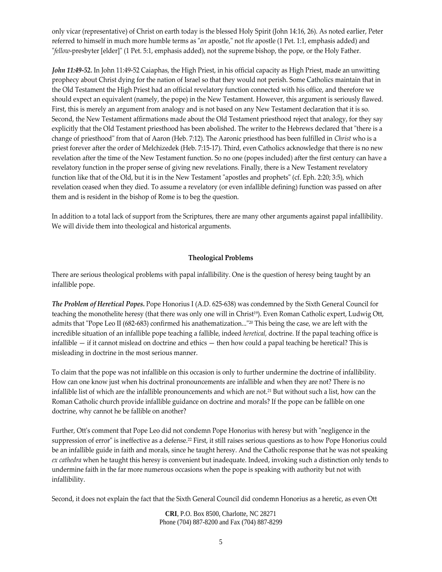only vicar (representative) of Christ on earth today is the blessed Holy Spirit (John 14:16, 26). As noted earlier, Peter referred to himself in much more humble terms as "*an* apostle," not *the* apostle (1 Pet. 1:1, emphasis added) and "*fellow*-presbyter [elder]" (1 Pet. 5:1, emphasis added), not the supreme bishop, the pope, or the Holy Father.

*John 11:49‐52.* In John 11:49‐52 Caiaphas, the High Priest, in his official capacity as High Priest, made an unwitting prophecy about Christ dying for the nation of Israel so that they would not perish. Some Catholics maintain that in the Old Testament the High Priest had an official revelatory function connected with his office, and therefore we should expect an equivalent (namely, the pope) in the New Testament. However, this argument is seriously flawed. First, this is merely an argument from analogy and is not based on any New Testament declaration that it is so. Second, the New Testament affirmations made about the Old Testament priesthood reject that analogy, for they say explicitly that the Old Testament priesthood has been abolished. The writer to the Hebrews declared that "there is a change of priesthoodʺ from that of Aaron (Heb. 7:12). The Aaronic priesthood has been fulfilled in *Christ* who is a priest forever after the order of Melchizedek (Heb. 7:15‐17). Third, even Catholics acknowledge that there is no new revelation after the time of the New Testament function. So no one (popes included) after the first century can have a revelatory function in the proper sense of giving new revelations. Finally, there is a New Testament revelatory function like that of the Old, but it is in the New Testament "apostles and prophets" (cf. Eph. 2:20; 3:5), which revelation ceased when they died. To assume a revelatory (or even infallible defining) function was passed on after them and is resident in the bishop of Rome is to beg the question.

In addition to a total lack of support from the Scriptures, there are many other arguments against papal infallibility. We will divide them into theological and historical arguments.

#### **Theological Problems**

There are serious theological problems with papal infallibility. One is the question of heresy being taught by an infallible pope.

*The Problem of Heretical Popes.* Pope Honorius I (A.D. 625‐638) was condemned by the Sixth General Council for teaching the monothelite heresy (that there was only one will in Christ<sup>19</sup>). Even Roman Catholic expert, Ludwig Ott, admits that "Pope Leo II (682-683) confirmed his anathematization..."<sup>20</sup> This being the case, we are left with the incredible situation of an infallible pope teaching a fallible, indeed *heretical,* doctrine. If the papal teaching office is infallible — if it cannot mislead on doctrine and ethics — then how could a papal teaching be heretical? This is misleading in doctrine in the most serious manner.

To claim that the pope was not infallible on this occasion is only to further undermine the doctrine of infallibility. How can one know just when his doctrinal pronouncements are infallible and when they are not? There is no infallible list of which are the infallible pronouncements and which are not.21 But without such a list, how can the Roman Catholic church provide infallible guidance on doctrine and morals? If the pope can be fallible on one doctrine, why cannot he be fallible on another?

Further, Ott's comment that Pope Leo did not condemn Pope Honorius with heresy but with "negligence in the suppression of error" is ineffective as a defense.<sup>22</sup> First, it still raises serious questions as to how Pope Honorius could be an infallible guide in faith and morals, since he taught heresy. And the Catholic response that he was not speaking *ex cathedra* when he taught this heresy is convenient but inadequate. Indeed, invoking such a distinction only tends to undermine faith in the far more numerous occasions when the pope is speaking with authority but not with infallibility.

Second, it does not explain the fact that the Sixth General Council did condemn Honorius as a heretic, as even Ott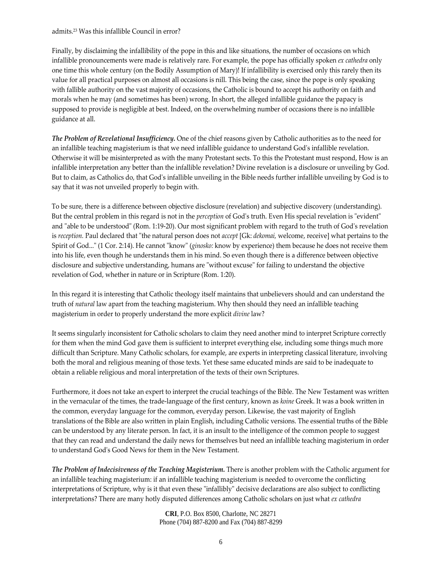#### admits.23 Was this infallible Council in error?

Finally, by disclaiming the infallibility of the pope in this and like situations, the number of occasions on which infallible pronouncements were made is relatively rare. For example, the pope has officially spoken *ex cathedra* only one time this whole century (on the Bodily Assumption of Mary)! If infallibility is exercised only this rarely then its value for all practical purposes on almost all occasions is nill. This being the case, since the pope is only speaking with fallible authority on the vast majority of occasions, the Catholic is bound to accept his authority on faith and morals when he may (and sometimes has been) wrong. In short, the alleged infallible guidance the papacy is supposed to provide is negligible at best. Indeed, on the overwhelming number of occasions there is no infallible guidance at all.

*The Problem of Revelational Insufficiency.* One of the chief reasons given by Catholic authorities as to the need for an infallible teaching magisterium is that we need infallible guidance to understand God's infallible revelation. Otherwise it will be misinterpreted as with the many Protestant sects. To this the Protestant must respond, How is an infallible interpretation any better than the infallible revelation? Divine revelation is a disclosure or unveiling by God. But to claim, as Catholics do, that Godʹs infallible unveiling in the Bible needs further infallible unveiling by God is to say that it was not unveiled properly to begin with.

To be sure, there is a difference between objective disclosure (revelation) and subjective discovery (understanding). But the central problem in this regard is not in the *perception* of God's truth. Even His special revelation is "evident" and "able to be understood" (Rom. 1:19-20). Our most significant problem with regard to the truth of God's revelation is *reception*. Paul declared that "the natural person does not *accept* [Gk: *dekomai*, welcome, receive] what pertains to the Spirit of God..." (1 Cor. 2:14). He cannot "know" (*ginosko:* know by experience) them because he does not receive them into his life, even though he understands them in his mind. So even though there is a difference between objective disclosure and subjective understanding, humans are "without excuse" for failing to understand the objective revelation of God, whether in nature or in Scripture (Rom. 1:20).

In this regard it is interesting that Catholic theology itself maintains that unbelievers should and can understand the truth of *natural* law apart from the teaching magisterium. Why then should they need an infallible teaching magisterium in order to properly understand the more explicit *divine* law?

It seems singularly inconsistent for Catholic scholars to claim they need another mind to interpret Scripture correctly for them when the mind God gave them is sufficient to interpret everything else, including some things much more difficult than Scripture. Many Catholic scholars, for example, are experts in interpreting classical literature, involving both the moral and religious meaning of those texts. Yet these same educated minds are said to be inadequate to obtain a reliable religious and moral interpretation of the texts of their own Scriptures.

Furthermore, it does not take an expert to interpret the crucial teachings of the Bible. The New Testament was written in the vernacular of the times, the trade‐language of the first century, known as *koine* Greek. It was a book written in the common, everyday language for the common, everyday person. Likewise, the vast majority of English translations of the Bible are also written in plain English, including Catholic versions. The essential truths of the Bible can be understood by any literate person. In fact, it is an insult to the intelligence of the common people to suggest that they can read and understand the daily news for themselves but need an infallible teaching magisterium in order to understand Godʹs Good News for them in the New Testament.

*The Problem of Indecisiveness of the Teaching Magisterium.* There is another problem with the Catholic argument for an infallible teaching magisterium: if an infallible teaching magisterium is needed to overcome the conflicting interpretations of Scripture, why is it that even these "infallibly" decisive declarations are also subject to conflicting interpretations? There are many hotly disputed differences among Catholic scholars on just what *ex cathedra*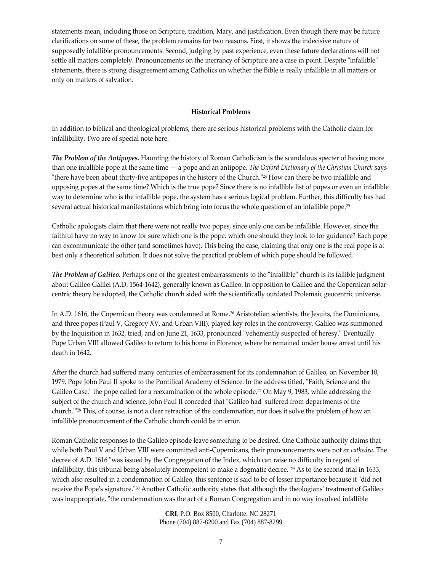statements mean, including those on Scripture, tradition, Mary, and justification. Even though there may be future clarifications on some of these, the problem remains for two reasons. First, it shows the indecisive nature of supposedly infallible pronouncements. Second, judging by past experience, even these future declarations will not settle all matters completely. Pronouncements on the inerrancy of Scripture are a case in point. Despite "infallible" statements, there is strong disagreement among Catholics on whether the Bible is really infallible in all matters or only on matters of salvation.

## **Historical Problems**

In addition to biblical and theological problems, there are serious historical problems with the Catholic claim for infallibility. Two are of special note here.

*The Problem of the Antipopes.* Haunting the history of Roman Catholicism is the scandalous specter of having more than one infallible pope at the same time — a pope and an antipope. *The Oxford Dictionary of the Christian Church* says "there have been about thirty-five antipopes in the history of the Church."<sup>24</sup> How can there be two infallible and opposing popes at the same time? Which is the true pope? Since there is no infallible list of popes or even an infallible way to determine who is the infallible pope, the system has a serious logical problem. Further, this difficulty has had several actual historical manifestations which bring into focus the whole question of an infallible pope.25

Catholic apologists claim that there were not really two popes, since only one can be infallible. However, since the faithful have no way to know for sure which one is the pope, which one should they look to for guidance? Each pope can excommunicate the other (and sometimes have). This being the case, claiming that only one is the real pope is at best only a theoretical solution. It does not solve the practical problem of which pope should be followed.

*The Problem of Galileo.* Perhaps one of the greatest embarrassments to the "infallible" church is its fallible judgment about Galileo Galilei (A.D. 1564‐1642), generally known as Galileo. In opposition to Galileo and the Copernican solar‐ centric theory he adopted, the Catholic church sided with the scientifically outdated Ptolemaic geocentric universe.

In A.D. 1616, the Copernican theory was condemned at Rome.26 Aristotelian scientists, the Jesuits, the Dominicans, and three popes (Paul V, Gregory XV, and Urban VIII), played key roles in the controversy. Galileo was summoned by the Inquisition in 1632, tried, and on June 21, 1633, pronounced "vehemently suspected of heresy." Eventually Pope Urban VIII allowed Galileo to return to his home in Florence, where he remained under house arrest until his death in 1642.

After the church had suffered many centuries of embarrassment for its condemnation of Galileo, on November 10, 1979, Pope John Paul II spoke to the Pontifical Academy of Science. In the address titled, "Faith, Science and the Galileo Case," the pope called for a reexamination of the whole episode.<sup>27</sup> On May 9, 1983, while addressing the subject of the church and science, John Paul II conceded that "Galileo had 'suffered from departments of the church.<sup>"28</sup> This, of course, is not a clear retraction of the condemnation, nor does it solve the problem of how an infallible pronouncement of the Catholic church could be in error.

Roman Catholic responses to the Galileo episode leave something to be desired. One Catholic authority claims that while both Paul V and Urban VIII were committed anti‐Copernicans, their pronouncements were not *ex cathedra.* The decree of A.D. 1616 "was issued by the Congregation of the Index, which can raise no difficulty in regard of infallibility, this tribunal being absolutely incompetent to make a dogmatic decree." $29$  As to the second trial in 1633, which also resulted in a condemnation of Galileo, this sentence is said to be of lesser importance because it "did not receive the Pope's signature."<sup>30</sup> Another Catholic authority states that although the theologians' treatment of Galileo was inappropriate, "the condemnation was the act of a Roman Congregation and in no way involved infallible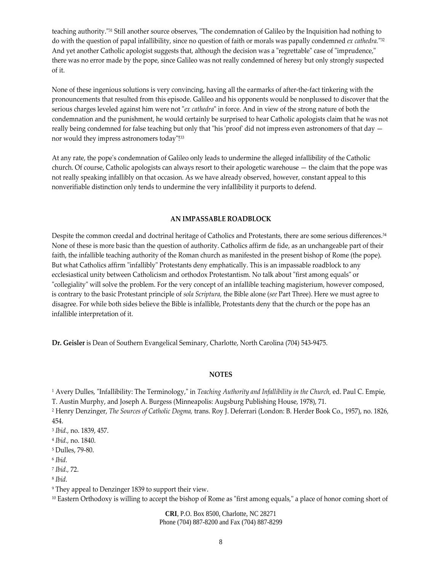teaching authority."<sup>31</sup> Still another source observes, "The condemnation of Galileo by the Inquisition had nothing to do with the question of papal infallibility, since no question of faith or morals was papally condemned *ex cathedra*."<sup>32</sup> And yet another Catholic apologist suggests that, although the decision was a "regrettable" case of "imprudence," there was no error made by the pope, since Galileo was not really condemned of heresy but only strongly suspected of it.

None of these ingenious solutions is very convincing, having all the earmarks of after‐the‐fact tinkering with the pronouncements that resulted from this episode. Galileo and his opponents would be nonplussed to discover that the serious charges leveled against him were not "*ex cathedra*" in force. And in view of the strong nature of both the condemnation and the punishment, he would certainly be surprised to hear Catholic apologists claim that he was not really being condemned for false teaching but only that "his 'proof' did not impress even astronomers of that day  $$ nor would they impress astronomers today"!<sup>33</sup>

At any rate, the popeʹs condemnation of Galileo only leads to undermine the alleged infallibility of the Catholic church. Of course, Catholic apologists can always resort to their apologetic warehouse — the claim that the pope was not really speaking infallibly on that occasion. As we have already observed, however, constant appeal to this nonverifiable distinction only tends to undermine the very infallibility it purports to defend.

## **AN IMPASSABLE ROADBLOCK**

Despite the common creedal and doctrinal heritage of Catholics and Protestants, there are some serious differences.34 None of these is more basic than the question of authority. Catholics affirm de fide, as an unchangeable part of their faith, the infallible teaching authority of the Roman church as manifested in the present bishop of Rome (the pope). But what Catholics affirm "infallibly" Protestants deny emphatically. This is an impassable roadblock to any ecclesiastical unity between Catholicism and orthodox Protestantism. No talk about "first among equals" or "collegiality" will solve the problem. For the very concept of an infallible teaching magisterium, however composed, is contrary to the basic Protestant principle of *sola Scriptura,* the Bible alone (*see* Part Three). Here we must agree to disagree. For while both sides believe the Bible is infallible, Protestants deny that the church or the pope has an infallible interpretation of it.

**Dr. Geisler** is Dean of Southern Evangelical Seminary, Charlotte, North Carolina (704) 543‐9475.

#### **NOTES**

<sup>1</sup> Avery Dulles, "Infallibility: The Terminology," in *Teaching Authority and Infallibility in the Church*, ed. Paul C. Empie, T. Austin Murphy, and Joseph A. Burgess (Minneapolis: Augsburg Publishing House, 1978), 71.

<sup>2</sup> Henry Denzinger, *The Sources of Catholic Dogma,* trans. Roy J. Deferrari (London: B. Herder Book Co., 1957), no. 1826, 454.

- <sup>3</sup> *Ibid.,* no. 1839, 457.
- <sup>4</sup> *Ibid.,* no. 1840.
- <sup>5</sup> Dulles, 79‐80.

<sup>6</sup> *Ibid.*

<sup>7</sup> *Ibid.,* 72.

<sup>8</sup> *Ibid.*

<sup>9</sup> They appeal to Denzinger 1839 to support their view.

 $10$  Eastern Orthodoxy is willing to accept the bishop of Rome as "first among equals," a place of honor coming short of